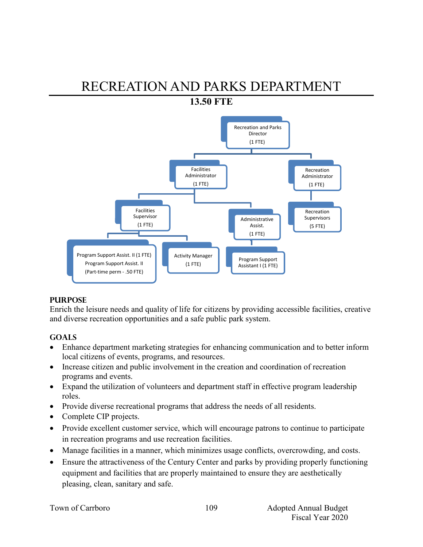# RECREATION AND PARKS DEPARTMENT **13.50 FTE**



#### **PURPOSE**

Enrich the leisure needs and quality of life for citizens by providing accessible facilities, creative and diverse recreation opportunities and a safe public park system.

## **GOALS**

- Enhance department marketing strategies for enhancing communication and to better inform local citizens of events, programs, and resources.
- Increase citizen and public involvement in the creation and coordination of recreation programs and events.
- Expand the utilization of volunteers and department staff in effective program leadership roles.
- Provide diverse recreational programs that address the needs of all residents.
- Complete CIP projects.
- Provide excellent customer service, which will encourage patrons to continue to participate in recreation programs and use recreation facilities.
- Manage facilities in a manner, which minimizes usage conflicts, overcrowding, and costs.
- Ensure the attractiveness of the Century Center and parks by providing properly functioning equipment and facilities that are properly maintained to ensure they are aesthetically pleasing, clean, sanitary and safe.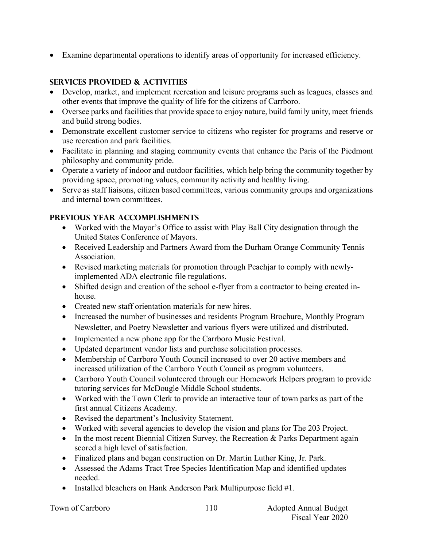Examine departmental operations to identify areas of opportunity for increased efficiency.

## **SERVICES PROVIDED & ACTIVITIES**

- Develop, market, and implement recreation and leisure programs such as leagues, classes and other events that improve the quality of life for the citizens of Carrboro.
- Oversee parks and facilities that provide space to enjoy nature, build family unity, meet friends and build strong bodies.
- Demonstrate excellent customer service to citizens who register for programs and reserve or use recreation and park facilities.
- Facilitate in planning and staging community events that enhance the Paris of the Piedmont philosophy and community pride.
- Operate a variety of indoor and outdoor facilities, which help bring the community together by providing space, promoting values, community activity and healthy living.
- Serve as staff liaisons, citizen based committees, various community groups and organizations and internal town committees.

### **PREVIOUS YEAR ACCOMPLISHMENTS**

- Worked with the Mayor's Office to assist with Play Ball City designation through the United States Conference of Mayors.
- Received Leadership and Partners Award from the Durham Orange Community Tennis Association.
- Revised marketing materials for promotion through Peachjar to comply with newlyimplemented ADA electronic file regulations.
- Shifted design and creation of the school e-flyer from a contractor to being created inhouse.
- Created new staff orientation materials for new hires.
- Increased the number of businesses and residents Program Brochure, Monthly Program Newsletter, and Poetry Newsletter and various flyers were utilized and distributed.
- Implemented a new phone app for the Carrboro Music Festival.
- Updated department vendor lists and purchase solicitation processes.
- Membership of Carrboro Youth Council increased to over 20 active members and increased utilization of the Carrboro Youth Council as program volunteers.
- Carrboro Youth Council volunteered through our Homework Helpers program to provide tutoring services for McDougle Middle School students.
- Worked with the Town Clerk to provide an interactive tour of town parks as part of the first annual Citizens Academy.
- Revised the department's Inclusivity Statement.
- Worked with several agencies to develop the vision and plans for The 203 Project.
- In the most recent Biennial Citizen Survey, the Recreation & Parks Department again scored a high level of satisfaction.
- Finalized plans and began construction on Dr. Martin Luther King, Jr. Park.
- Assessed the Adams Tract Tree Species Identification Map and identified updates needed.
- Installed bleachers on Hank Anderson Park Multipurpose field #1.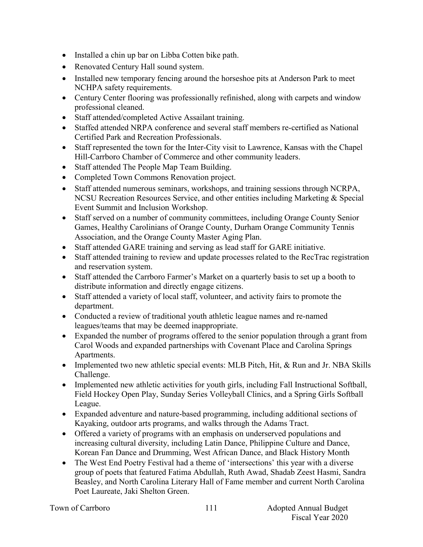- Installed a chin up bar on Libba Cotten bike path.
- Renovated Century Hall sound system.
- Installed new temporary fencing around the horseshoe pits at Anderson Park to meet NCHPA safety requirements.
- Century Center flooring was professionally refinished, along with carpets and window professional cleaned.
- Staff attended/completed Active Assailant training.
- Staffed attended NRPA conference and several staff members re-certified as National Certified Park and Recreation Professionals.
- Staff represented the town for the Inter-City visit to Lawrence, Kansas with the Chapel Hill-Carrboro Chamber of Commerce and other community leaders.
- Staff attended The People Map Team Building.
- Completed Town Commons Renovation project.
- Staff attended numerous seminars, workshops, and training sessions through NCRPA, NCSU Recreation Resources Service, and other entities including Marketing & Special Event Summit and Inclusion Workshop.
- Staff served on a number of community committees, including Orange County Senior Games, Healthy Carolinians of Orange County, Durham Orange Community Tennis Association, and the Orange County Master Aging Plan.
- Staff attended GARE training and serving as lead staff for GARE initiative.
- Staff attended training to review and update processes related to the RecTrac registration and reservation system.
- Staff attended the Carrboro Farmer's Market on a quarterly basis to set up a booth to distribute information and directly engage citizens.
- Staff attended a variety of local staff, volunteer, and activity fairs to promote the department.
- Conducted a review of traditional youth athletic league names and re-named leagues/teams that may be deemed inappropriate.
- Expanded the number of programs offered to the senior population through a grant from Carol Woods and expanded partnerships with Covenant Place and Carolina Springs Apartments.
- Implemented two new athletic special events: MLB Pitch, Hit, & Run and Jr. NBA Skills Challenge.
- Implemented new athletic activities for youth girls, including Fall Instructional Softball, Field Hockey Open Play, Sunday Series Volleyball Clinics, and a Spring Girls Softball League.
- Expanded adventure and nature-based programming, including additional sections of Kayaking, outdoor arts programs, and walks through the Adams Tract.
- Offered a variety of programs with an emphasis on underserved populations and increasing cultural diversity, including Latin Dance, Philippine Culture and Dance, Korean Fan Dance and Drumming, West African Dance, and Black History Month
- The West End Poetry Festival had a theme of 'intersections' this year with a diverse group of poets that featured Fatima Abdullah, Ruth Awad, Shadab Zeest Hasmi, Sandra Beasley, and North Carolina Literary Hall of Fame member and current North Carolina Poet Laureate, Jaki Shelton Green.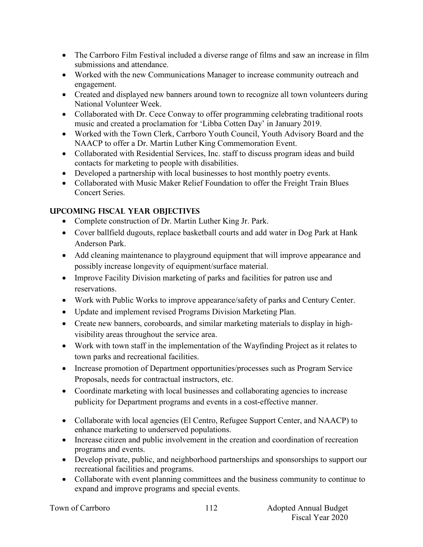- The Carrboro Film Festival included a diverse range of films and saw an increase in film submissions and attendance.
- Worked with the new Communications Manager to increase community outreach and engagement.
- Created and displayed new banners around town to recognize all town volunteers during National Volunteer Week.
- Collaborated with Dr. Cece Conway to offer programming celebrating traditional roots music and created a proclamation for 'Libba Cotten Day' in January 2019.
- Worked with the Town Clerk, Carrboro Youth Council, Youth Advisory Board and the NAACP to offer a Dr. Martin Luther King Commemoration Event.
- Collaborated with Residential Services, Inc. staff to discuss program ideas and build contacts for marketing to people with disabilities.
- Developed a partnership with local businesses to host monthly poetry events.
- Collaborated with Music Maker Relief Foundation to offer the Freight Train Blues Concert Series.

## **UPCOMING FISCAL YEAR OBJECTIVES**

- Complete construction of Dr. Martin Luther King Jr. Park.
- Cover ballfield dugouts, replace basketball courts and add water in Dog Park at Hank Anderson Park.
- Add cleaning maintenance to playground equipment that will improve appearance and possibly increase longevity of equipment/surface material.
- Improve Facility Division marketing of parks and facilities for patron use and reservations.
- Work with Public Works to improve appearance/safety of parks and Century Center.
- Update and implement revised Programs Division Marketing Plan.
- Create new banners, coroboards, and similar marketing materials to display in highvisibility areas throughout the service area.
- Work with town staff in the implementation of the Wayfinding Project as it relates to town parks and recreational facilities.
- Increase promotion of Department opportunities/processes such as Program Service Proposals, needs for contractual instructors, etc.
- Coordinate marketing with local businesses and collaborating agencies to increase publicity for Department programs and events in a cost-effective manner.
- Collaborate with local agencies (El Centro, Refugee Support Center, and NAACP) to enhance marketing to underserved populations.
- Increase citizen and public involvement in the creation and coordination of recreation programs and events.
- Develop private, public, and neighborhood partnerships and sponsorships to support our recreational facilities and programs.
- Collaborate with event planning committees and the business community to continue to expand and improve programs and special events.

|  | Town of Carrboro |
|--|------------------|
|--|------------------|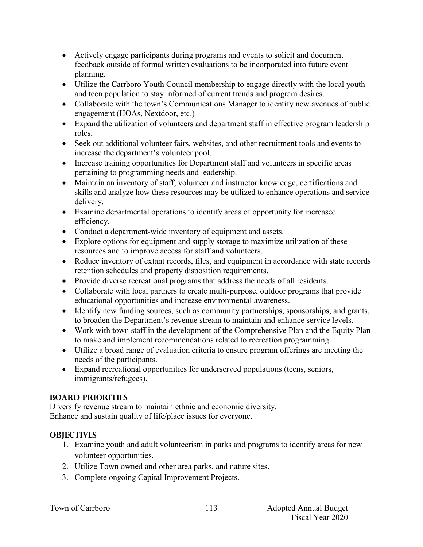- Actively engage participants during programs and events to solicit and document feedback outside of formal written evaluations to be incorporated into future event planning.
- Utilize the Carrboro Youth Council membership to engage directly with the local youth and teen population to stay informed of current trends and program desires.
- Collaborate with the town's Communications Manager to identify new avenues of public engagement (HOAs, Nextdoor, etc.)
- Expand the utilization of volunteers and department staff in effective program leadership roles.
- Seek out additional volunteer fairs, websites, and other recruitment tools and events to increase the department's volunteer pool.
- Increase training opportunities for Department staff and volunteers in specific areas pertaining to programming needs and leadership.
- Maintain an inventory of staff, volunteer and instructor knowledge, certifications and skills and analyze how these resources may be utilized to enhance operations and service delivery.
- Examine departmental operations to identify areas of opportunity for increased efficiency.
- Conduct a department-wide inventory of equipment and assets.
- Explore options for equipment and supply storage to maximize utilization of these resources and to improve access for staff and volunteers.
- Reduce inventory of extant records, files, and equipment in accordance with state records retention schedules and property disposition requirements.
- Provide diverse recreational programs that address the needs of all residents.
- Collaborate with local partners to create multi-purpose, outdoor programs that provide educational opportunities and increase environmental awareness.
- Identify new funding sources, such as community partnerships, sponsorships, and grants, to broaden the Department's revenue stream to maintain and enhance service levels.
- Work with town staff in the development of the Comprehensive Plan and the Equity Plan to make and implement recommendations related to recreation programming.
- Utilize a broad range of evaluation criteria to ensure program offerings are meeting the needs of the participants.
- Expand recreational opportunities for underserved populations (teens, seniors, immigrants/refugees).

## **BOARD PRIORITIES**

Diversify revenue stream to maintain ethnic and economic diversity. Enhance and sustain quality of life/place issues for everyone.

## **OBJECTIVES**

- 1. Examine youth and adult volunteerism in parks and programs to identify areas for new volunteer opportunities.
- 2. Utilize Town owned and other area parks, and nature sites.
- 3. Complete ongoing Capital Improvement Projects.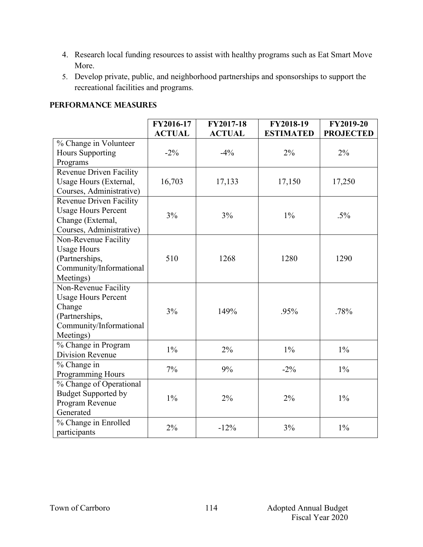- 4. Research local funding resources to assist with healthy programs such as Eat Smart Move More.
- 5. Develop private, public, and neighborhood partnerships and sponsorships to support the recreational facilities and programs.

#### **Performance Measures**

|                                | FY2016-17<br><b>ACTUAL</b> | FY2017-18<br><b>ACTUAL</b> | FY2018-19<br><b>ESTIMATED</b> | FY2019-20<br><b>PROJECTED</b> |
|--------------------------------|----------------------------|----------------------------|-------------------------------|-------------------------------|
| % Change in Volunteer          |                            |                            |                               |                               |
| <b>Hours Supporting</b>        | $-2\%$                     | $-4%$                      | 2%                            | 2%                            |
| Programs                       |                            |                            |                               |                               |
| <b>Revenue Driven Facility</b> |                            |                            |                               |                               |
| Usage Hours (External,         | 16,703                     | 17,133                     | 17,150                        | 17,250                        |
| Courses, Administrative)       |                            |                            |                               |                               |
| Revenue Driven Facility        |                            |                            |                               |                               |
| <b>Usage Hours Percent</b>     | 3%                         | 3%                         | $1\%$                         | $.5\%$                        |
| Change (External,              |                            |                            |                               |                               |
| Courses, Administrative)       |                            |                            |                               |                               |
| Non-Revenue Facility           |                            |                            |                               |                               |
| <b>Usage Hours</b>             |                            |                            |                               |                               |
| (Partnerships,                 | 510                        | 1268                       | 1280                          | 1290                          |
| Community/Informational        |                            |                            |                               |                               |
| Meetings)                      |                            |                            |                               |                               |
| Non-Revenue Facility           |                            |                            |                               |                               |
| <b>Usage Hours Percent</b>     |                            |                            |                               |                               |
| Change                         | 3%                         |                            | .95%                          | .78%                          |
| (Partnerships,                 |                            | 149%                       |                               |                               |
| Community/Informational        |                            |                            |                               |                               |
| Meetings)                      |                            |                            |                               |                               |
| % Change in Program            | $1\%$                      |                            | $1\%$                         |                               |
| Division Revenue               |                            | 2%                         |                               | $1\%$                         |
| % Change in                    | 7%                         | 9%                         | $-2\%$                        | $1\%$                         |
| Programming Hours              |                            |                            |                               |                               |
| % Change of Operational        |                            |                            |                               |                               |
| <b>Budget Supported by</b>     | $1\%$                      | 2%                         | 2%                            | $1\%$                         |
| Program Revenue                |                            |                            |                               |                               |
| Generated                      |                            |                            |                               |                               |
| % Change in Enrolled           | 2%                         | $-12%$                     | 3%                            | $1\%$                         |
| participants                   |                            |                            |                               |                               |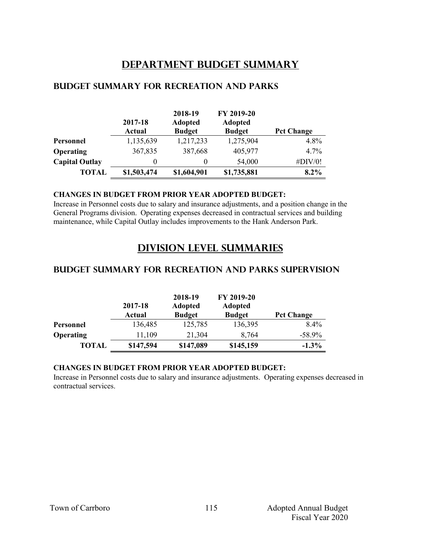## **Department Budget Summary**

|                       | 2017-18<br><b>Actual</b> | 2018-19<br><b>Adopted</b><br><b>Budget</b> | FY 2019-20<br><b>Adopted</b><br><b>Budget</b> | <b>Pct Change</b> |
|-----------------------|--------------------------|--------------------------------------------|-----------------------------------------------|-------------------|
| Personnel             | 1,135,639                | 1,217,233                                  | 1,275,904                                     | 4.8%              |
| <b>Operating</b>      | 367,835                  | 387,668                                    | 405,977                                       | $4.7\%$           |
| <b>Capital Outlay</b> | $^{(1)}$                 | $\Omega$                                   | 54,000                                        | $\#$ DIV/0!       |
| <b>TOTAL</b>          | \$1,503,474              | \$1,604,901                                | \$1,735,881                                   | 8.2%              |

#### **Budget summary for recreation and parks**

#### **CHANGES IN BUDGET FROM PRIOR YEAR ADOPTED BUDGET:**

Increase in Personnel costs due to salary and insurance adjustments, and a position change in the General Programs division. Operating expenses decreased in contractual services and building maintenance, while Capital Outlay includes improvements to the Hank Anderson Park.

## **Division Level Summaries**

#### **Budget summary for recreation and parks supervision**

|                  | 2017-18<br>Actual | 2018-19<br><b>Adopted</b><br><b>Budget</b> | FY 2019-20<br><b>Adopted</b><br><b>Budget</b> | <b>Pct Change</b> |
|------------------|-------------------|--------------------------------------------|-----------------------------------------------|-------------------|
| <b>Personnel</b> | 136,485           | 125,785                                    | 136,395                                       | $8.4\%$           |
| <b>Operating</b> | 11,109            | 21,304                                     | 8,764                                         | $-58.9\%$         |
| <b>TOTAL</b>     | \$147,594         | \$147,089                                  | \$145,159                                     | $-1.3\%$          |

#### **CHANGES IN BUDGET FROM PRIOR YEAR ADOPTED BUDGET:**

Increase in Personnel costs due to salary and insurance adjustments. Operating expenses decreased in contractual services.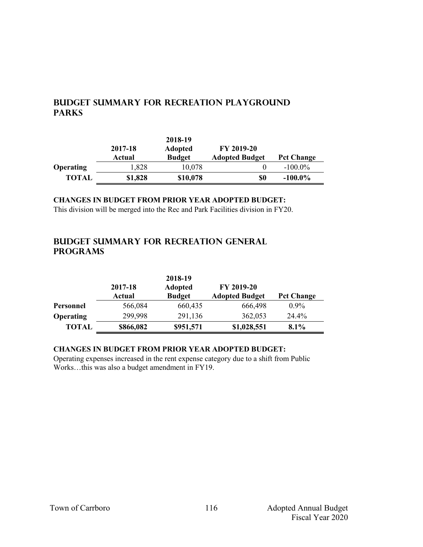## **Budget summary for recreation playground parks**

|                  | 2017-18<br>Actual | 2018-19<br><b>Adopted</b><br><b>Budget</b> | FY 2019-20<br><b>Adopted Budget</b> | <b>Pct Change</b> |
|------------------|-------------------|--------------------------------------------|-------------------------------------|-------------------|
| <b>Operating</b> | 1,828             | 10,078                                     |                                     | $-100.0\%$        |
| <b>TOTAL</b>     | \$1,828           | \$10,078                                   | \$0                                 | $-100.0\%$        |

## **CHANGES IN BUDGET FROM PRIOR YEAR ADOPTED BUDGET:**

This division will be merged into the Rec and Park Facilities division in FY20.

### **Budget summary for recreation general programs**

|                  |                   | 2018-19                         |                                     |                   |
|------------------|-------------------|---------------------------------|-------------------------------------|-------------------|
|                  | 2017-18<br>Actual | <b>Adopted</b><br><b>Budget</b> | FY 2019-20<br><b>Adopted Budget</b> | <b>Pct Change</b> |
| Personnel        | 566,084           | 660,435                         | 666,498                             | $0.9\%$           |
| <b>Operating</b> | 299,998           | 291,136                         | 362,053                             | 24.4%             |
| <b>TOTAL</b>     | \$866,082         | \$951,571                       | \$1,028,551                         | 8.1%              |

#### **CHANGES IN BUDGET FROM PRIOR YEAR ADOPTED BUDGET:**

Operating expenses increased in the rent expense category due to a shift from Public Works…this was also a budget amendment in FY19.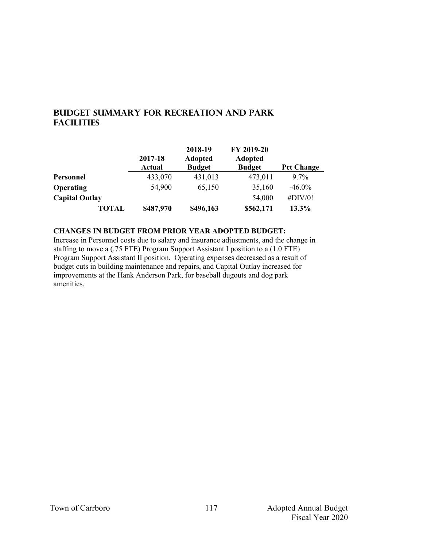## **Budget summary for recreation and park facilities**

|                       | 2017-18<br><b>Actual</b> | 2018-19<br><b>Adopted</b><br><b>Budget</b> | FY 2019-20<br><b>Adopted</b><br><b>Budget</b> | <b>Pct Change</b> |
|-----------------------|--------------------------|--------------------------------------------|-----------------------------------------------|-------------------|
| Personnel             | 433,070                  | 431,013                                    | 473,011                                       | $9.7\%$           |
| Operating             | 54,900                   | 65,150                                     | 35,160                                        | $-46.0\%$         |
| <b>Capital Outlay</b> |                          |                                            | 54,000                                        | #DIV/0!           |
| <b>TOTAL</b>          | \$487,970                | \$496,163                                  | \$562,171                                     | 13.3%             |

**CHANGES IN BUDGET FROM PRIOR YEAR ADOPTED BUDGET:**

Increase in Personnel costs due to salary and insurance adjustments, and the change in staffing to move a (.75 FTE) Program Support Assistant I position to a (1.0 FTE) Program Support Assistant II position. Operating expenses decreased as a result of budget cuts in building maintenance and repairs, and Capital Outlay increased for improvements at the Hank Anderson Park, for baseball dugouts and dog park amenities.